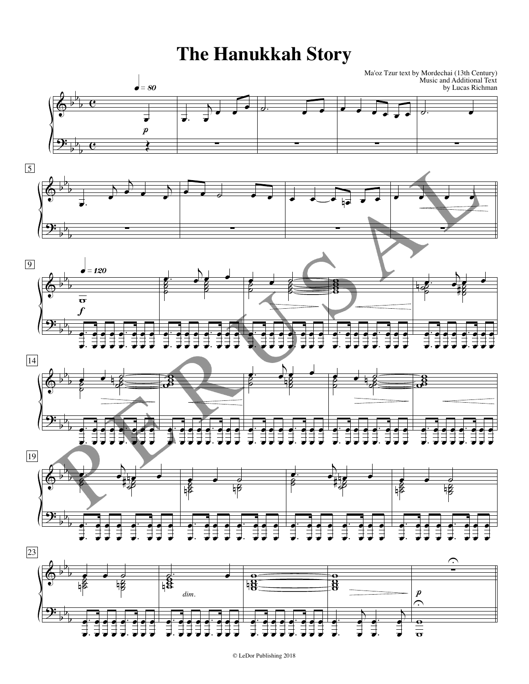## **The Hanukkah Story**

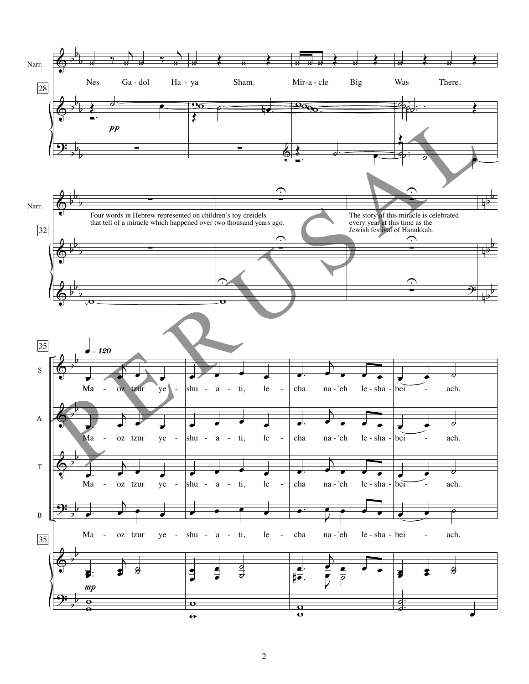

2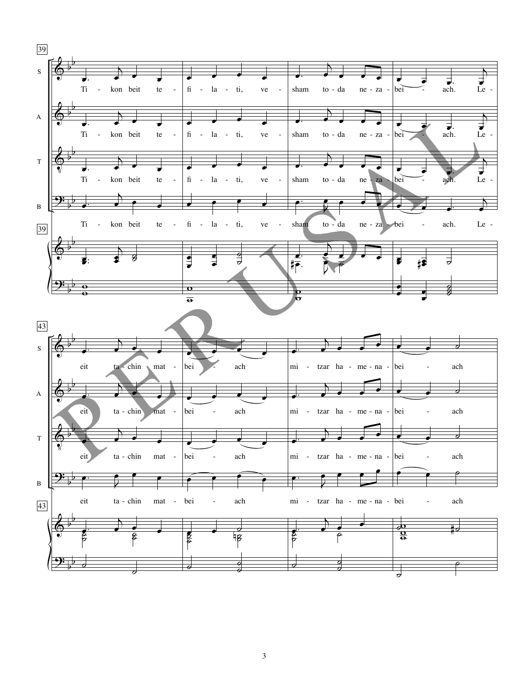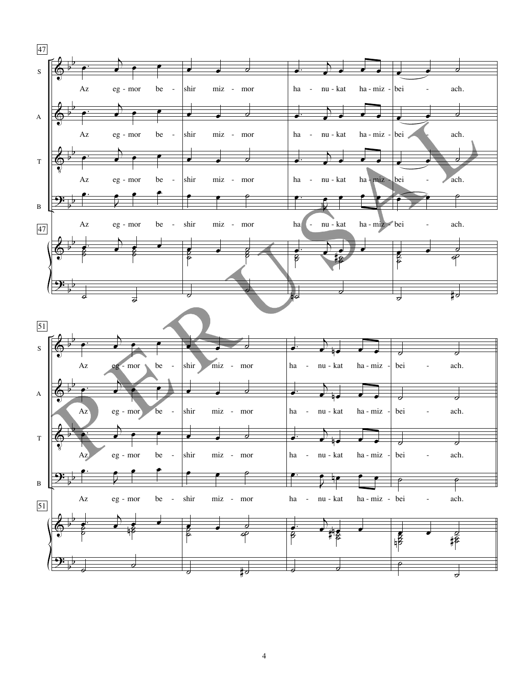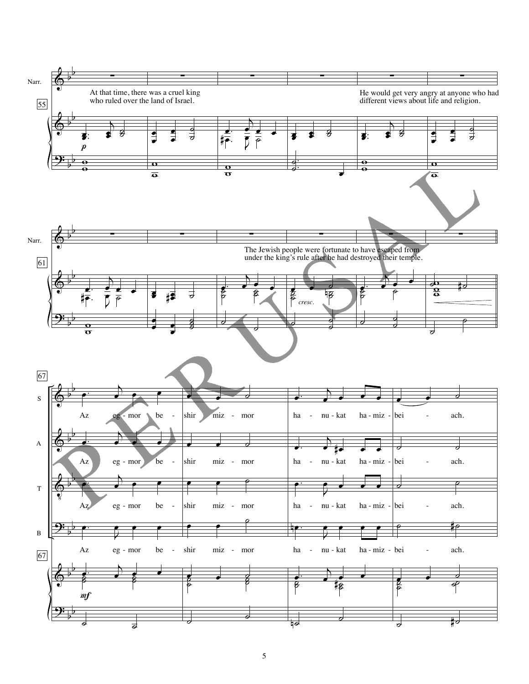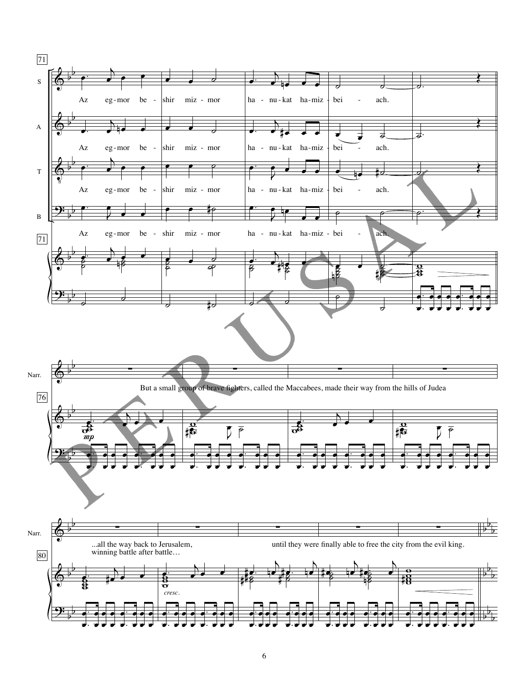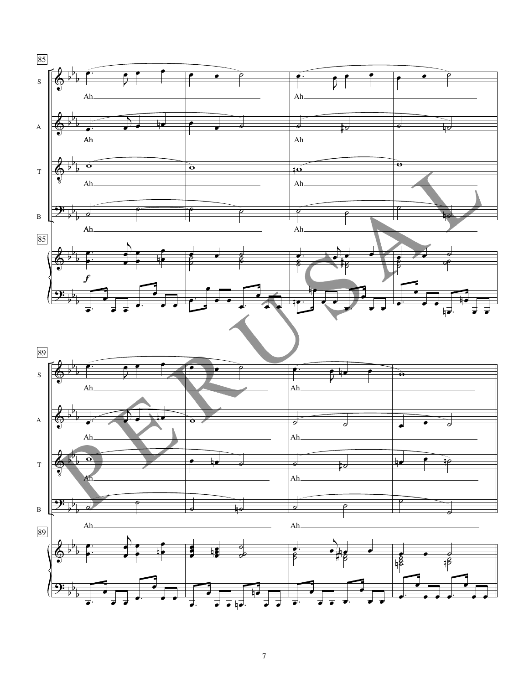![](_page_6_Figure_0.jpeg)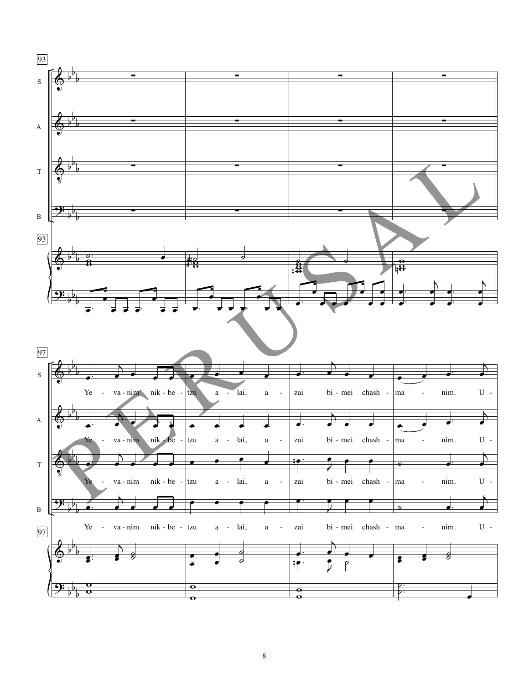![](_page_7_Figure_0.jpeg)

![](_page_7_Figure_1.jpeg)

8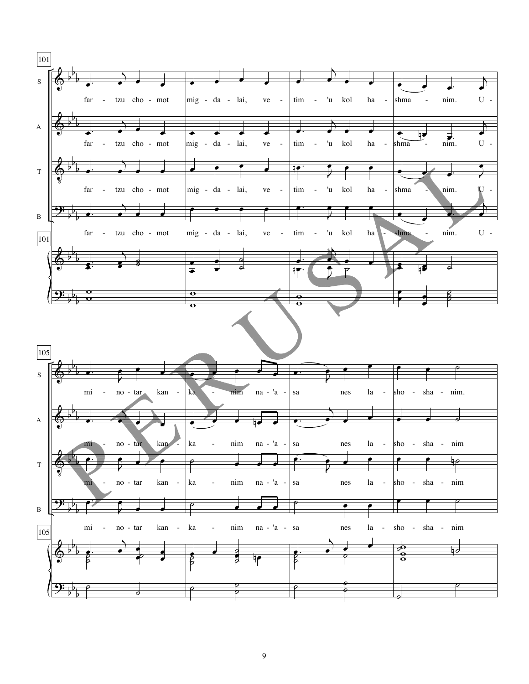![](_page_8_Figure_0.jpeg)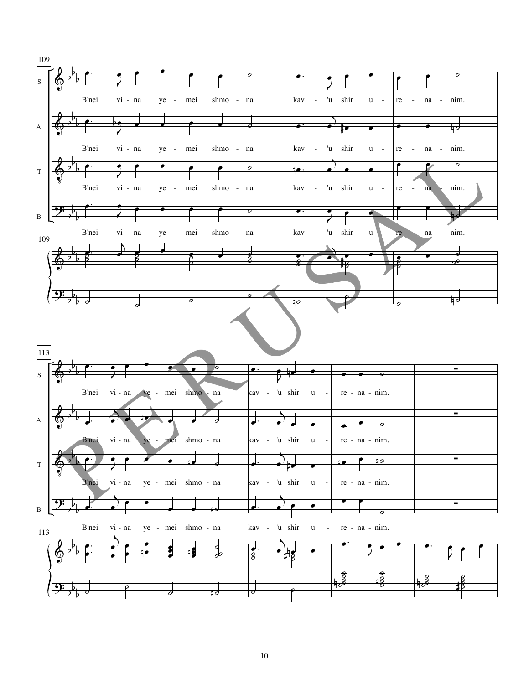![](_page_9_Figure_0.jpeg)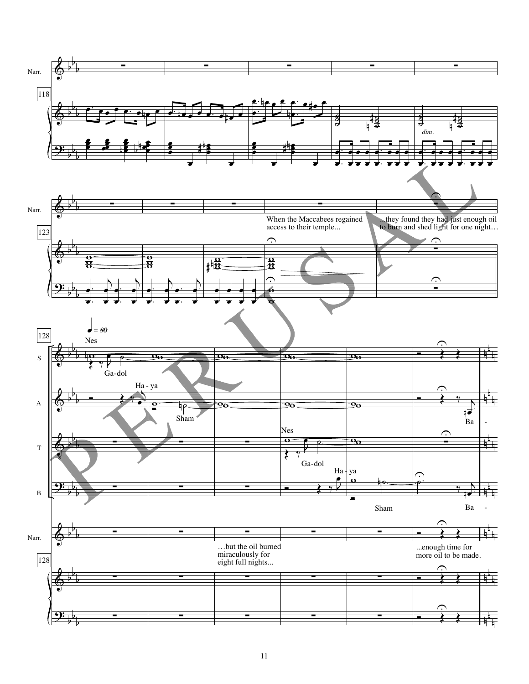![](_page_10_Figure_0.jpeg)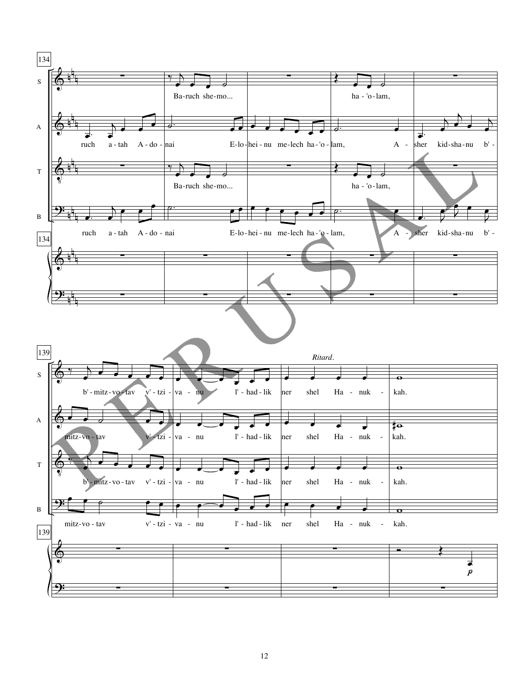![](_page_11_Figure_0.jpeg)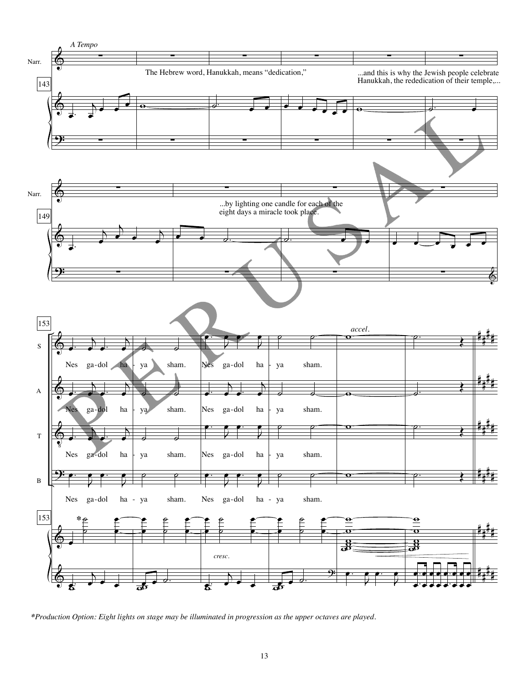![](_page_12_Figure_0.jpeg)

*<sup>\*</sup>Production Option: Eight lights on stage may be illuminated in progression as the upper octaves are played.*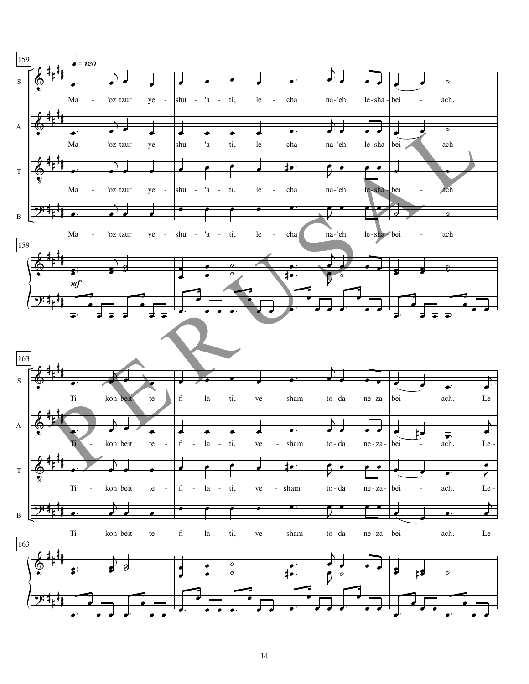![](_page_13_Figure_0.jpeg)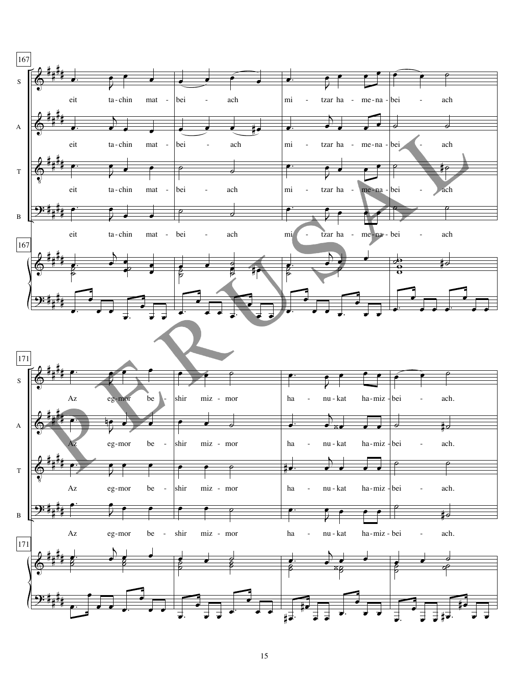![](_page_14_Figure_0.jpeg)

![](_page_14_Figure_1.jpeg)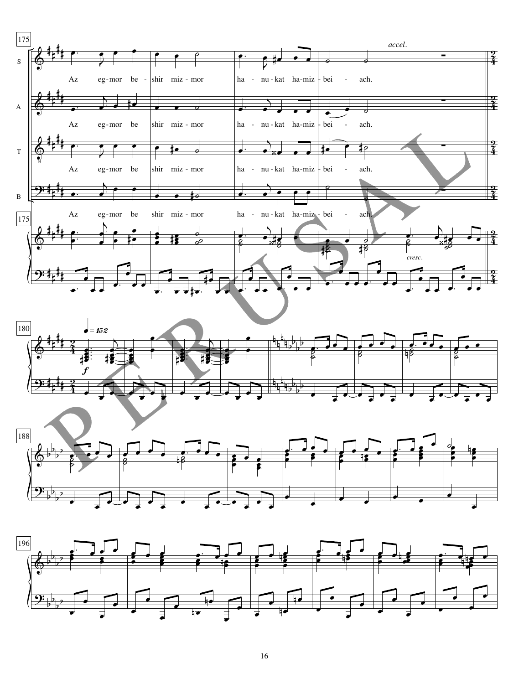![](_page_15_Figure_0.jpeg)

![](_page_15_Figure_1.jpeg)

![](_page_15_Figure_2.jpeg)

![](_page_15_Figure_3.jpeg)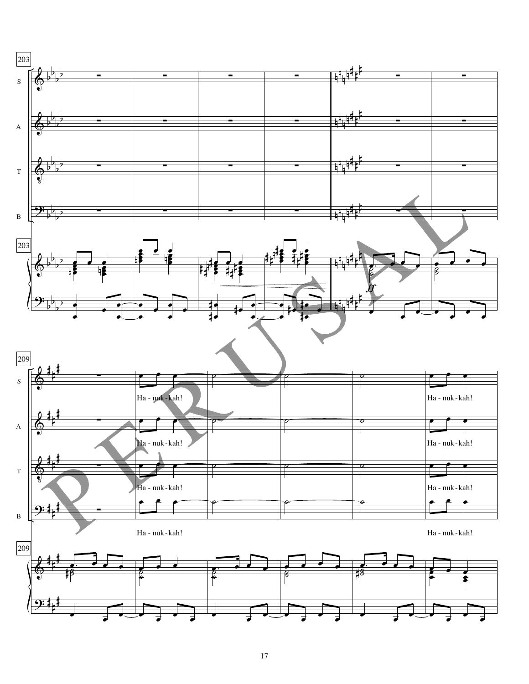![](_page_16_Figure_0.jpeg)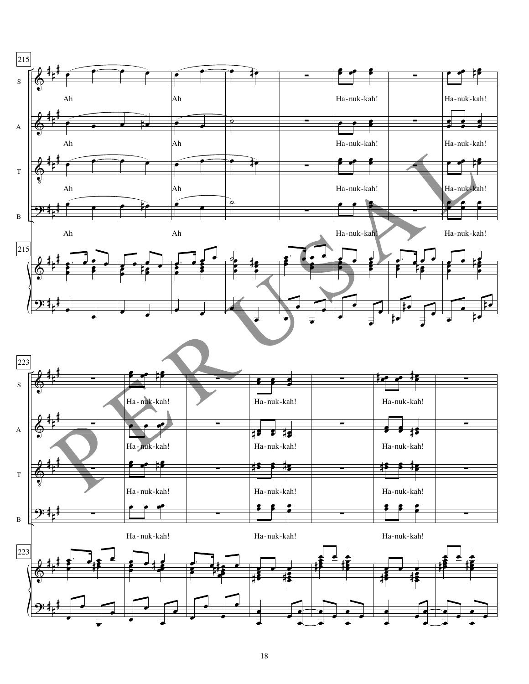![](_page_17_Figure_0.jpeg)

![](_page_17_Figure_1.jpeg)

18

œ

<sup>œ</sup> <sup>œ</sup> <sup>œ</sup>

œ

œ  $\frac{1}{e}$ 

 $\frac{1}{\cdot}$ 

œ

<sup>œ</sup> <sup>œ</sup> <sup>œ</sup>

œ

œ  $\frac{1}{\epsilon}$ .

 $\frac{1}{\epsilon}$ 

<u>9:</u>

# # #

 $\overline{\phantom{a}}$ 

 $\overline{\phantom{a}}$ 

 $\overline{\cdot}$ 

 $\frac{1}{\cdot}$ 

 $\begin{array}{c} \begin{array}{c} \bullet \\ \bullet \end{array} \end{array}$